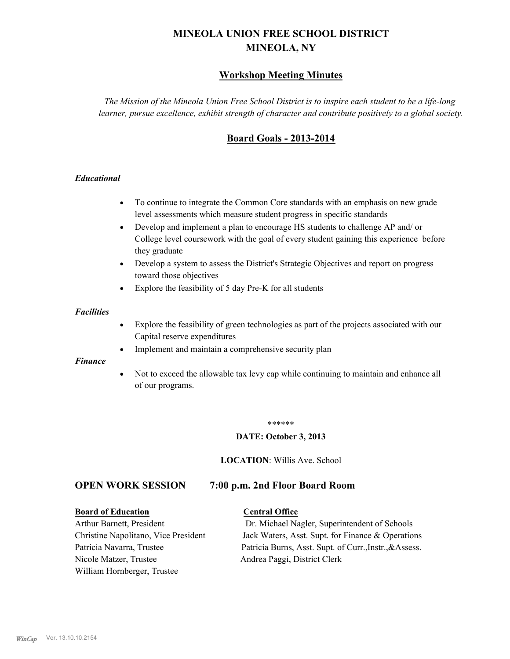# **MINEOLA UNION FREE SCHOOL DISTRICT MINEOLA, NY**

# **Workshop Meeting Minutes**

*The Mission of the Mineola Union Free School District is to inspire each student to be a life-long learner, pursue excellence, exhibit strength of character and contribute positively to a global society.*

# **Board Goals - 2013-2014**

## *Educational*

- · To continue to integrate the Common Core standards with an emphasis on new grade level assessments which measure student progress in specific standards
- · Develop and implement a plan to encourage HS students to challenge AP and/ or College level coursework with the goal of every student gaining this experience before they graduate
- Develop a system to assess the District's Strategic Objectives and report on progress toward those objectives
- · Explore the feasibility of 5 day Pre-K for all students

#### *Facilities*

- · Explore the feasibility of green technologies as part of the projects associated with our Capital reserve expenditures
- Implement and maintain a comprehensive security plan

#### *Finance*

• Not to exceed the allowable tax levy cap while continuing to maintain and enhance all of our programs.

#### \*\*\*\*\*\*

#### **DATE: October 3, 2013**

**LOCATION**: Willis Ave. School

# **OPEN WORK SESSION 7:00 p.m. 2nd Floor Board Room**

#### **Board of Education Central Office**

Nicole Matzer, Trustee Andrea Paggi, District Clerk William Hornberger, Trustee

Arthur Barnett, President Dr. Michael Nagler, Superintendent of Schools Christine Napolitano, Vice President Jack Waters, Asst. Supt. for Finance & Operations Patricia Navarra, Trustee Patricia Burns, Asst. Supt. of Curr., Instr., &Assess.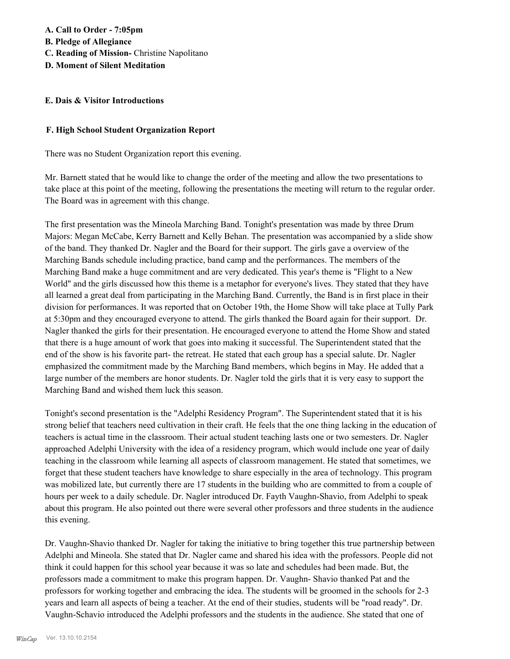### **E. Dais & Visitor Introductions**

### **F. High School Student Organization Report**

There was no Student Organization report this evening.

Mr. Barnett stated that he would like to change the order of the meeting and allow the two presentations to take place at this point of the meeting, following the presentations the meeting will return to the regular order. The Board was in agreement with this change.

The first presentation was the Mineola Marching Band. Tonight's presentation was made by three Drum Majors: Megan McCabe, Kerry Barnett and Kelly Behan. The presentation was accompanied by a slide show of the band. They thanked Dr. Nagler and the Board for their support. The girls gave a overview of the Marching Bands schedule including practice, band camp and the performances. The members of the Marching Band make a huge commitment and are very dedicated. This year's theme is "Flight to a New World" and the girls discussed how this theme is a metaphor for everyone's lives. They stated that they have all learned a great deal from participating in the Marching Band. Currently, the Band is in first place in their division for performances. It was reported that on October 19th, the Home Show will take place at Tully Park at 5:30pm and they encouraged everyone to attend. The girls thanked the Board again for their support. Dr. Nagler thanked the girls for their presentation. He encouraged everyone to attend the Home Show and stated that there is a huge amount of work that goes into making it successful. The Superintendent stated that the end of the show is his favorite part- the retreat. He stated that each group has a special salute. Dr. Nagler emphasized the commitment made by the Marching Band members, which begins in May. He added that a large number of the members are honor students. Dr. Nagler told the girls that it is very easy to support the Marching Band and wished them luck this season.

Tonight's second presentation is the "Adelphi Residency Program". The Superintendent stated that it is his strong belief that teachers need cultivation in their craft. He feels that the one thing lacking in the education of teachers is actual time in the classroom. Their actual student teaching lasts one or two semesters. Dr. Nagler approached Adelphi University with the idea of a residency program, which would include one year of daily teaching in the classroom while learning all aspects of classroom management. He stated that sometimes, we forget that these student teachers have knowledge to share especially in the area of technology. This program was mobilized late, but currently there are 17 students in the building who are committed to from a couple of hours per week to a daily schedule. Dr. Nagler introduced Dr. Fayth Vaughn-Shavio, from Adelphi to speak about this program. He also pointed out there were several other professors and three students in the audience this evening.

Dr. Vaughn-Shavio thanked Dr. Nagler for taking the initiative to bring together this true partnership between Adelphi and Mineola. She stated that Dr. Nagler came and shared his idea with the professors. People did not think it could happen for this school year because it was so late and schedules had been made. But, the professors made a commitment to make this program happen. Dr. Vaughn- Shavio thanked Pat and the professors for working together and embracing the idea. The students will be groomed in the schools for 2-3 years and learn all aspects of being a teacher. At the end of their studies, students will be "road ready". Dr. Vaughn-Schavio introduced the Adelphi professors and the students in the audience. She stated that one of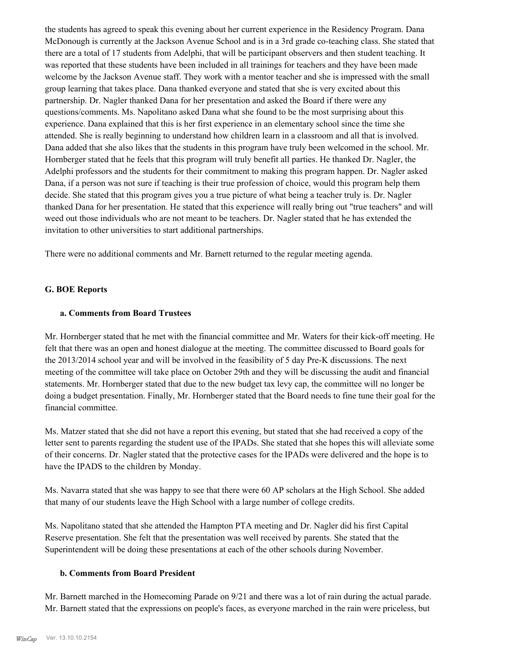the students has agreed to speak this evening about her current experience in the Residency Program. Dana McDonough is currently at the Jackson Avenue School and is in a 3rd grade co-teaching class. She stated that there are a total of 17 students from Adelphi, that will be participant observers and then student teaching. It was reported that these students have been included in all trainings for teachers and they have been made welcome by the Jackson Avenue staff. They work with a mentor teacher and she is impressed with the small group learning that takes place. Dana thanked everyone and stated that she is very excited about this partnership. Dr. Nagler thanked Dana for her presentation and asked the Board if there were any questions/comments. Ms. Napolitano asked Dana what she found to be the most surprising about this experience. Dana explained that this is her first experience in an elementary school since the time she attended. She is really beginning to understand how children learn in a classroom and all that is involved. Dana added that she also likes that the students in this program have truly been welcomed in the school. Mr. Hornberger stated that he feels that this program will truly benefit all parties. He thanked Dr. Nagler, the Adelphi professors and the students for their commitment to making this program happen. Dr. Nagler asked Dana, if a person was not sure if teaching is their true profession of choice, would this program help them decide. She stated that this program gives you a true picture of what being a teacher truly is. Dr. Nagler thanked Dana for her presentation. He stated that this experience will really bring out "true teachers" and will weed out those individuals who are not meant to be teachers. Dr. Nagler stated that he has extended the invitation to other universities to start additional partnerships.

There were no additional comments and Mr. Barnett returned to the regular meeting agenda.

## **G. BOE Reports**

#### **a. Comments from Board Trustees**

Mr. Hornberger stated that he met with the financial committee and Mr. Waters for their kick-off meeting. He felt that there was an open and honest dialogue at the meeting. The committee discussed to Board goals for the 2013/2014 school year and will be involved in the feasibility of 5 day Pre-K discussions. The next meeting of the committee will take place on October 29th and they will be discussing the audit and financial statements. Mr. Hornberger stated that due to the new budget tax levy cap, the committee will no longer be doing a budget presentation. Finally, Mr. Hornberger stated that the Board needs to fine tune their goal for the financial committee.

Ms. Matzer stated that she did not have a report this evening, but stated that she had received a copy of the letter sent to parents regarding the student use of the IPADs. She stated that she hopes this will alleviate some of their concerns. Dr. Nagler stated that the protective cases for the IPADs were delivered and the hope is to have the IPADS to the children by Monday.

Ms. Navarra stated that she was happy to see that there were 60 AP scholars at the High School. She added that many of our students leave the High School with a large number of college credits.

Ms. Napolitano stated that she attended the Hampton PTA meeting and Dr. Nagler did his first Capital Reserve presentation. She felt that the presentation was well received by parents. She stated that the Superintendent will be doing these presentations at each of the other schools during November.

#### **b. Comments from Board President**

Mr. Barnett marched in the Homecoming Parade on 9/21 and there was a lot of rain during the actual parade. Mr. Barnett stated that the expressions on people's faces, as everyone marched in the rain were priceless, but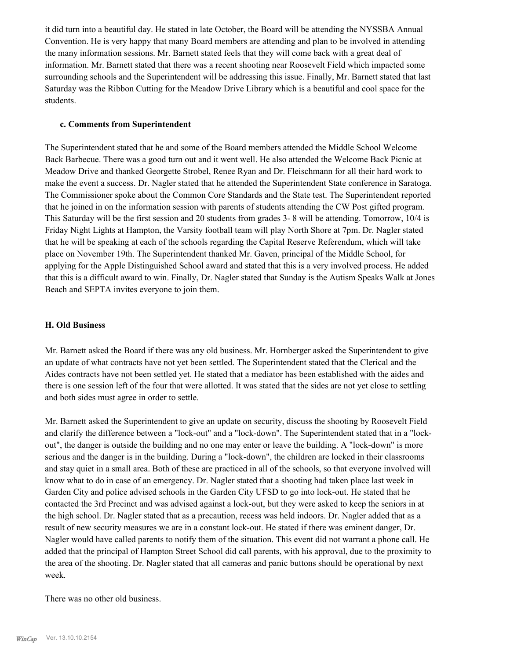it did turn into a beautiful day. He stated in late October, the Board will be attending the NYSSBA Annual Convention. He is very happy that many Board members are attending and plan to be involved in attending the many information sessions. Mr. Barnett stated feels that they will come back with a great deal of information. Mr. Barnett stated that there was a recent shooting near Roosevelt Field which impacted some surrounding schools and the Superintendent will be addressing this issue. Finally, Mr. Barnett stated that last Saturday was the Ribbon Cutting for the Meadow Drive Library which is a beautiful and cool space for the students.

### **c. Comments from Superintendent**

The Superintendent stated that he and some of the Board members attended the Middle School Welcome Back Barbecue. There was a good turn out and it went well. He also attended the Welcome Back Picnic at Meadow Drive and thanked Georgette Strobel, Renee Ryan and Dr. Fleischmann for all their hard work to make the event a success. Dr. Nagler stated that he attended the Superintendent State conference in Saratoga. The Commissioner spoke about the Common Core Standards and the State test. The Superintendent reported that he joined in on the information session with parents of students attending the CW Post gifted program. This Saturday will be the first session and 20 students from grades 3- 8 will be attending. Tomorrow, 10/4 is Friday Night Lights at Hampton, the Varsity football team will play North Shore at 7pm. Dr. Nagler stated that he will be speaking at each of the schools regarding the Capital Reserve Referendum, which will take place on November 19th. The Superintendent thanked Mr. Gaven, principal of the Middle School, for applying for the Apple Distinguished School award and stated that this is a very involved process. He added that this is a difficult award to win. Finally, Dr. Nagler stated that Sunday is the Autism Speaks Walk at Jones Beach and SEPTA invites everyone to join them.

## **H. Old Business**

Mr. Barnett asked the Board if there was any old business. Mr. Hornberger asked the Superintendent to give an update of what contracts have not yet been settled. The Superintendent stated that the Clerical and the Aides contracts have not been settled yet. He stated that a mediator has been established with the aides and there is one session left of the four that were allotted. It was stated that the sides are not yet close to settling and both sides must agree in order to settle.

Mr. Barnett asked the Superintendent to give an update on security, discuss the shooting by Roosevelt Field and clarify the difference between a "lock-out" and a "lock-down". The Superintendent stated that in a "lockout", the danger is outside the building and no one may enter or leave the building. A "lock-down" is more serious and the danger is in the building. During a "lock-down", the children are locked in their classrooms and stay quiet in a small area. Both of these are practiced in all of the schools, so that everyone involved will know what to do in case of an emergency. Dr. Nagler stated that a shooting had taken place last week in Garden City and police advised schools in the Garden City UFSD to go into lock-out. He stated that he contacted the 3rd Precinct and was advised against a lock-out, but they were asked to keep the seniors in at the high school. Dr. Nagler stated that as a precaution, recess was held indoors. Dr. Nagler added that as a result of new security measures we are in a constant lock-out. He stated if there was eminent danger, Dr. Nagler would have called parents to notify them of the situation. This event did not warrant a phone call. He added that the principal of Hampton Street School did call parents, with his approval, due to the proximity to the area of the shooting. Dr. Nagler stated that all cameras and panic buttons should be operational by next week.

There was no other old business.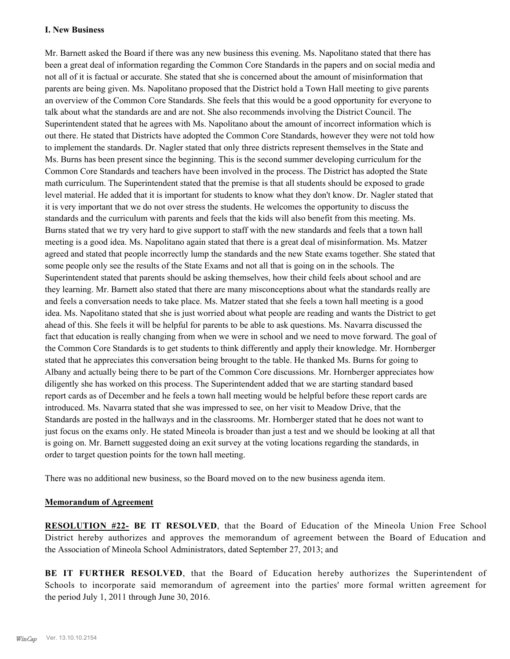## **I. New Business**

Mr. Barnett asked the Board if there was any new business this evening. Ms. Napolitano stated that there has been a great deal of information regarding the Common Core Standards in the papers and on social media and not all of it is factual or accurate. She stated that she is concerned about the amount of misinformation that parents are being given. Ms. Napolitano proposed that the District hold a Town Hall meeting to give parents an overview of the Common Core Standards. She feels that this would be a good opportunity for everyone to talk about what the standards are and are not. She also recommends involving the District Council. The Superintendent stated that he agrees with Ms. Napolitano about the amount of incorrect information which is out there. He stated that Districts have adopted the Common Core Standards, however they were not told how to implement the standards. Dr. Nagler stated that only three districts represent themselves in the State and Ms. Burns has been present since the beginning. This is the second summer developing curriculum for the Common Core Standards and teachers have been involved in the process. The District has adopted the State math curriculum. The Superintendent stated that the premise is that all students should be exposed to grade level material. He added that it is important for students to know what they don't know. Dr. Nagler stated that it is very important that we do not over stress the students. He welcomes the opportunity to discuss the standards and the curriculum with parents and feels that the kids will also benefit from this meeting. Ms. Burns stated that we try very hard to give support to staff with the new standards and feels that a town hall meeting is a good idea. Ms. Napolitano again stated that there is a great deal of misinformation. Ms. Matzer agreed and stated that people incorrectly lump the standards and the new State exams together. She stated that some people only see the results of the State Exams and not all that is going on in the schools. The Superintendent stated that parents should be asking themselves, how their child feels about school and are they learning. Mr. Barnett also stated that there are many misconceptions about what the standards really are and feels a conversation needs to take place. Ms. Matzer stated that she feels a town hall meeting is a good idea. Ms. Napolitano stated that she is just worried about what people are reading and wants the District to get ahead of this. She feels it will be helpful for parents to be able to ask questions. Ms. Navarra discussed the fact that education is really changing from when we were in school and we need to move forward. The goal of the Common Core Standards is to get students to think differently and apply their knowledge. Mr. Hornberger stated that he appreciates this conversation being brought to the table. He thanked Ms. Burns for going to Albany and actually being there to be part of the Common Core discussions. Mr. Hornberger appreciates how diligently she has worked on this process. The Superintendent added that we are starting standard based report cards as of December and he feels a town hall meeting would be helpful before these report cards are introduced. Ms. Navarra stated that she was impressed to see, on her visit to Meadow Drive, that the Standards are posted in the hallways and in the classrooms. Mr. Hornberger stated that he does not want to just focus on the exams only. He stated Mineola is broader than just a test and we should be looking at all that is going on. Mr. Barnett suggested doing an exit survey at the voting locations regarding the standards, in order to target question points for the town hall meeting.

There was no additional new business, so the Board moved on to the new business agenda item.

## **Memorandum of Agreement**

**RESOLUTION #22- BE IT RESOLVED**, that the Board of Education of the Mineola Union Free School District hereby authorizes and approves the memorandum of agreement between the Board of Education and the Association of Mineola School Administrators, dated September 27, 2013; and

**BE IT FURTHER RESOLVED**, that the Board of Education hereby authorizes the Superintendent of Schools to incorporate said memorandum of agreement into the parties' more formal written agreement for the period July 1, 2011 through June 30, 2016.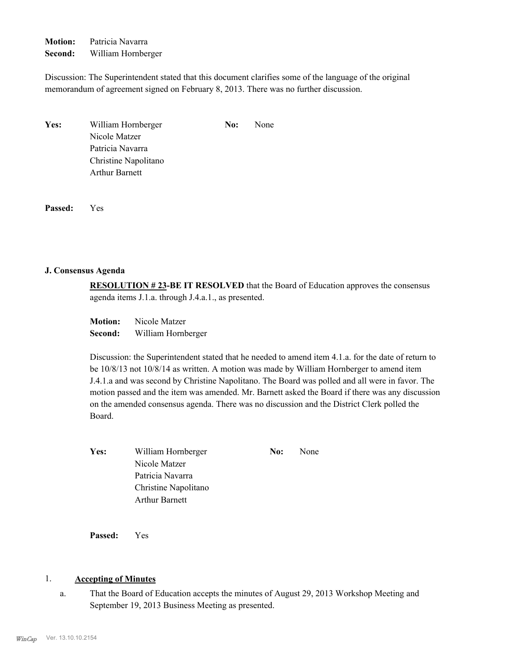**Motion:** Patricia Navarra **Second:** William Hornberger

Discussion: The Superintendent stated that this document clarifies some of the language of the original memorandum of agreement signed on February 8, 2013. There was no further discussion.

| <b>Yes:</b> | William Hornberger    | No: | None |
|-------------|-----------------------|-----|------|
|             | Nicole Matzer         |     |      |
|             | Patricia Navarra      |     |      |
|             | Christine Napolitano  |     |      |
|             | <b>Arthur Barnett</b> |     |      |

**Passed:** Yes

#### **J. Consensus Agenda**

**RESOLUTION # 23-BE IT RESOLVED** that the Board of Education approves the consensus agenda items J.1.a. through J.4.a.1., as presented.

| <b>Motion:</b> | Nicole Matzer      |
|----------------|--------------------|
| Second:        | William Hornberger |

Discussion: the Superintendent stated that he needed to amend item 4.1.a. for the date of return to be 10/8/13 not 10/8/14 as written. A motion was made by William Hornberger to amend item J.4.1.a and was second by Christine Napolitano. The Board was polled and all were in favor. The motion passed and the item was amended. Mr. Barnett asked the Board if there was any discussion on the amended consensus agenda. There was no discussion and the District Clerk polled the Board.

| Yes: | William Hornberger    | No: | None |
|------|-----------------------|-----|------|
|      | Nicole Matzer         |     |      |
|      | Patricia Navarra      |     |      |
|      | Christine Napolitano  |     |      |
|      | <b>Arthur Barnett</b> |     |      |

**Passed:** Yes

## 1. **Accepting of Minutes**

That the Board of Education accepts the minutes of August 29, 2013 Workshop Meeting and September 19, 2013 Business Meeting as presented. a.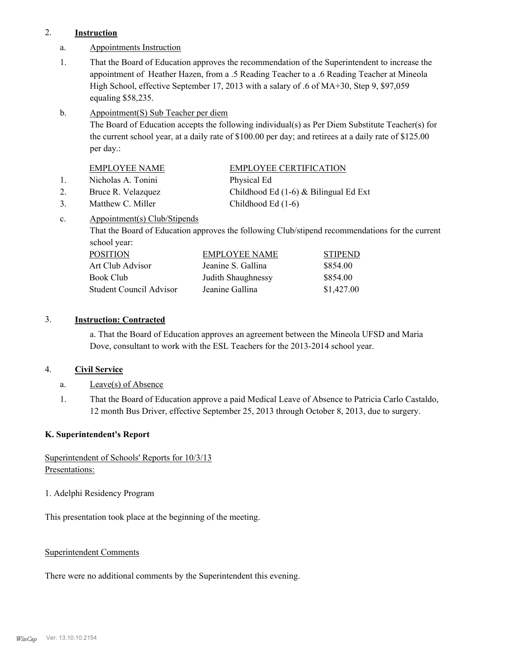# 2. **Instruction**

- a. Appointments Instruction
- That the Board of Education approves the recommendation of the Superintendent to increase the appointment of Heather Hazen, from a .5 Reading Teacher to a .6 Reading Teacher at Mineola High School, effective September 17, 2013 with a salary of .6 of MA+30, Step 9, \$97,059 equaling \$58,235. 1.
- Appointment(S) Sub Teacher per diem b.

The Board of Education accepts the following individual(s) as Per Diem Substitute Teacher(s) for the current school year, at a daily rate of \$100.00 per day; and retirees at a daily rate of \$125.00 per day.:

| EMPLOYEE NAME      | <b>EMPLOYEE CERTIFICATION</b> |
|--------------------|-------------------------------|
| Nicholas A. Tonini | Physical Ed                   |

- 
- 

2. Bruce R. Velazquez Childhood Ed (1-6) & Bilingual Ed Ext 3. Matthew C. Miller Childhood Ed (1-6)

Appointment(s) Club/Stipends c.

> That the Board of Education approves the following Club/stipend recommendations for the current school year:

| <b>POSITION</b>         | EMPLOYEE NAME      | <b>STIPEND</b> |
|-------------------------|--------------------|----------------|
| Art Club Advisor        | Jeanine S. Gallina | \$854.00       |
| Book Club               | Judith Shaughnessy | \$854.00       |
| Student Council Advisor | Jeanine Gallina    | \$1,427.00     |

# 3. **Instruction: Contracted**

a. That the Board of Education approves an agreement between the Mineola UFSD and Maria Dove, consultant to work with the ESL Teachers for the 2013-2014 school year.

# 4. **Civil Service**

- a. Leave(s) of Absence
- That the Board of Education approve a paid Medical Leave of Absence to Patricia Carlo Castaldo, 12 month Bus Driver, effective September 25, 2013 through October 8, 2013, due to surgery. 1.

## **K. Superintendent's Report**

# Superintendent of Schools' Reports for 10/3/13 Presentations:

1. Adelphi Residency Program

This presentation took place at the beginning of the meeting.

## Superintendent Comments

There were no additional comments by the Superintendent this evening.